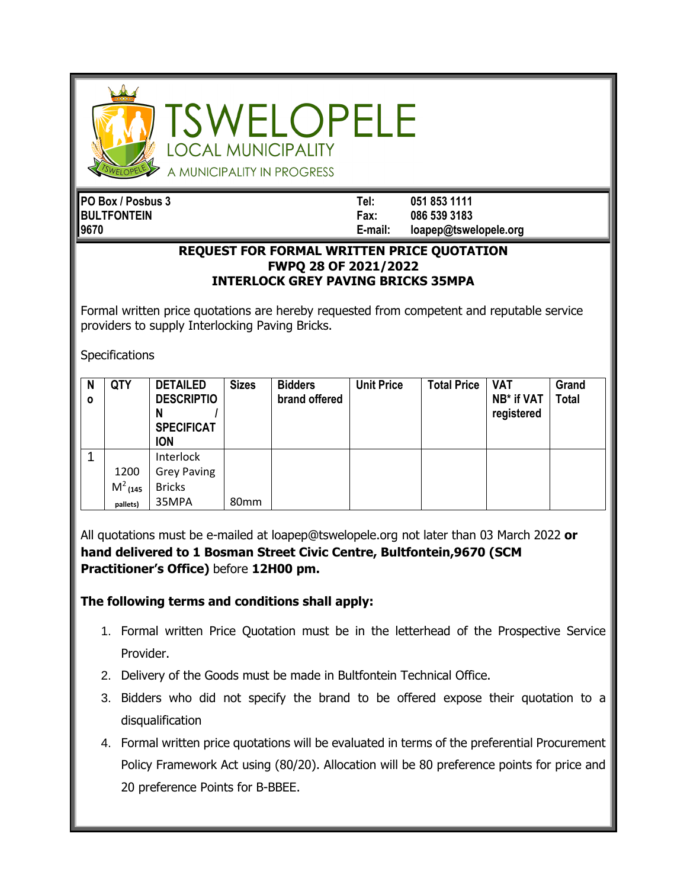

SWELOPELE **OCAL MUNICIPALITY** 

A MUNICIPALITY IN PROGRESS

| PO Box / Posbus 3  | Tel:    | 051 853 1111          |
|--------------------|---------|-----------------------|
| <b>BULTFONTEIN</b> | Fax:    | 086 539 3183          |
| 19670              | E-mail: | loapep@tswelopele.org |

## **REQUEST FOR FORMAL WRITTEN PRICE QUOTATION FWPQ 28 OF 2021/2022 INTERLOCK GREY PAVING BRICKS 35MPA**

Formal written price quotations are hereby requested from competent and reputable service providers to supply Interlocking Paving Bricks.

**Specifications** 

| N<br>$\mathbf{o}$ | <b>QTY</b> | <b>DETAILED</b><br><b>DESCRIPTIO</b><br>N<br><b>SPECIFICAT</b><br><b>ION</b> | <b>Sizes</b>     | <b>Bidders</b><br>brand offered | <b>Unit Price</b> | <b>Total Price</b> | <b>VAT</b><br>NB* if VAT<br>registered | Grand<br><b>Total</b> |
|-------------------|------------|------------------------------------------------------------------------------|------------------|---------------------------------|-------------------|--------------------|----------------------------------------|-----------------------|
|                   |            | Interlock                                                                    |                  |                                 |                   |                    |                                        |                       |
|                   | 1200       | <b>Grey Paving</b>                                                           |                  |                                 |                   |                    |                                        |                       |
|                   | $M^2$ (145 | <b>Bricks</b>                                                                |                  |                                 |                   |                    |                                        |                       |
|                   | pallets)   | 35MPA                                                                        | 80 <sub>mm</sub> |                                 |                   |                    |                                        |                       |

All quotations must be e-mailed at loapep@tswelopele.org not later than 03 March 2022 **or hand delivered to 1 Bosman Street Civic Centre, Bultfontein,9670 (SCM Practitioner's Office)** before **12H00 pm.**

**The following terms and conditions shall apply:**

- 1. Formal written Price Quotation must be in the letterhead of the Prospective Service Provider.
- 2. Delivery of the Goods must be made in Bultfontein Technical Office.
- 3. Bidders who did not specify the brand to be offered expose their quotation to a disqualification
- 4. Formal written price quotations will be evaluated in terms of the preferential Procurement Policy Framework Act using (80/20). Allocation will be 80 preference points for price and 20 preference Points for B-BBEE.